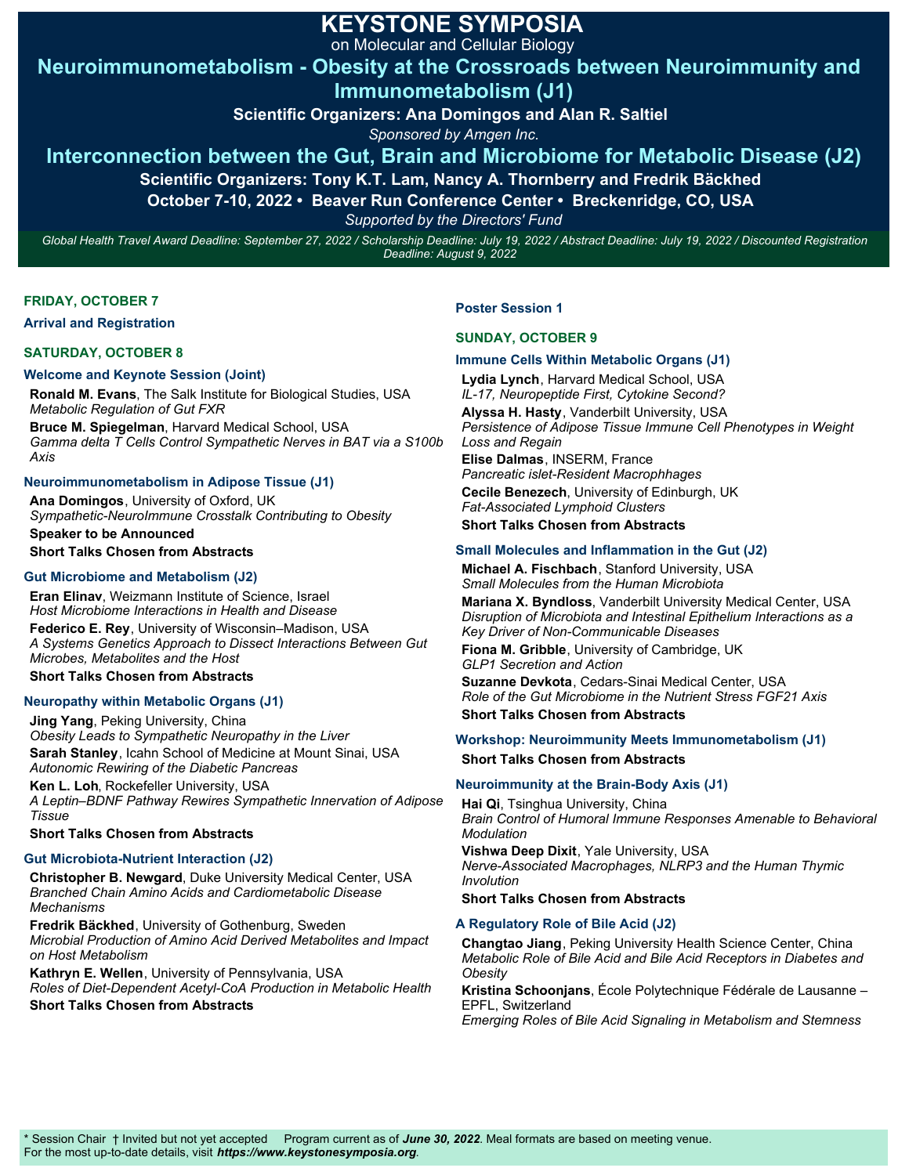## **KEYSTONE SYMPOSIA**

on Molecular and Cellular Biology

## **Neuroimmunometabolism - Obesity at the Crossroads between Neuroimmunity and Immunometabolism (J1)**

**Scientific Organizers: Ana Domingos and Alan R. Saltiel** 

*Sponsored by Amgen Inc.*

## **Interconnection between the Gut, Brain and Microbiome for Metabolic Disease (J2)**

**Scientific Organizers: Tony K.T. Lam, Nancy A. Thornberry and Fredrik Bäckhed** 

**October 7-10, 2022 • Beaver Run Conference Center • Breckenridge, CO, USA** 

*Supported by the Directors' Fund*

*Global Health Travel Award Deadline: September 27, 2022 / Scholarship Deadline: July 19, 2022 / Abstract Deadline: July 19, 2022 / Discounted Registration Deadline: August 9, 2022*

#### **FRIDAY, OCTOBER 7**

**Arrival and Registration** 

#### **SATURDAY, OCTOBER 8**

#### **Welcome and Keynote Session (Joint)**

**Ronald M. Evans**, The Salk Institute for Biological Studies, USA *Metabolic Regulation of Gut FXR*

**Bruce M. Spiegelman**, Harvard Medical School, USA *Gamma delta T Cells Control Sympathetic Nerves in BAT via a S100b Axis*

#### **Neuroimmunometabolism in Adipose Tissue (J1)**

**Ana Domingos**, University of Oxford, UK *Sympathetic-NeuroImmune Crosstalk Contributing to Obesity* **Speaker to be Announced**

**Short Talks Chosen from Abstracts**

#### **Gut Microbiome and Metabolism (J2)**

**Eran Elinav**, Weizmann Institute of Science, Israel *Host Microbiome Interactions in Health and Disease* **Federico E. Rey**, University of Wisconsin–Madison, USA *A Systems Genetics Approach to Dissect Interactions Between Gut Microbes, Metabolites and the Host*

**Short Talks Chosen from Abstracts**

#### **Neuropathy within Metabolic Organs (J1)**

**Jing Yang**, Peking University, China *Obesity Leads to Sympathetic Neuropathy in the Liver* **Sarah Stanley**, Icahn School of Medicine at Mount Sinai, USA *Autonomic Rewiring of the Diabetic Pancreas* **Ken L. Loh**, Rockefeller University, USA *A Leptin–BDNF Pathway Rewires Sympathetic Innervation of Adipose Tissue*

#### **Short Talks Chosen from Abstracts**

#### **Gut Microbiota-Nutrient Interaction (J2)**

**Christopher B. Newgard**, Duke University Medical Center, USA *Branched Chain Amino Acids and Cardiometabolic Disease Mechanisms*

**Fredrik Bäckhed**, University of Gothenburg, Sweden *Microbial Production of Amino Acid Derived Metabolites and Impact on Host Metabolism*

**Kathryn E. Wellen**, University of Pennsylvania, USA *Roles of Diet-Dependent Acetyl-CoA Production in Metabolic Health* **Short Talks Chosen from Abstracts**

#### **Poster Session 1**

#### **SUNDAY, OCTOBER 9**

#### **Immune Cells Within Metabolic Organs (J1)**

**Lydia Lynch**, Harvard Medical School, USA *IL-17, Neuropeptide First, Cytokine Second?*  **Alyssa H. Hasty**, Vanderbilt University, USA *Persistence of Adipose Tissue Immune Cell Phenotypes in Weight Loss and Regain*

**Elise Dalmas**, INSERM, France *Pancreatic islet-Resident Macrophhages* **Cecile Benezech**, University of Edinburgh, UK

*Fat-Associated Lymphoid Clusters* **Short Talks Chosen from Abstracts**

#### **Small Molecules and Inflammation in the Gut (J2)**

**Michael A. Fischbach**, Stanford University, USA *Small Molecules from the Human Microbiota* **Mariana X. Byndloss**, Vanderbilt University Medical Center, USA *Disruption of Microbiota and Intestinal Epithelium Interactions as a*

*Key Driver of Non-Communicable Diseases* **Fiona M. Gribble**, University of Cambridge, UK *GLP1 Secretion and Action*

**Suzanne Devkota**, Cedars-Sinai Medical Center, USA *Role of the Gut Microbiome in the Nutrient Stress FGF21 Axis* **Short Talks Chosen from Abstracts**

#### **Workshop: Neuroimmunity Meets Immunometabolism (J1)**

**Short Talks Chosen from Abstracts**

#### **Neuroimmunity at the Brain-Body Axis (J1)**

**Hai Qi**, Tsinghua University, China *Brain Control of Humoral Immune Responses Amenable to Behavioral Modulation*

**Vishwa Deep Dixit**, Yale University, USA *Nerve-Associated Macrophages, NLRP3 and the Human Thymic Involution*

#### **Short Talks Chosen from Abstracts**

#### **A Regulatory Role of Bile Acid (J2)**

**Changtao Jiang**, Peking University Health Science Center, China *Metabolic Role of Bile Acid and Bile Acid Receptors in Diabetes and Obesity*

**Kristina Schoonjans**, École Polytechnique Fédérale de Lausanne – EPFL, Switzerland

*Emerging Roles of Bile Acid Signaling in Metabolism and Stemness*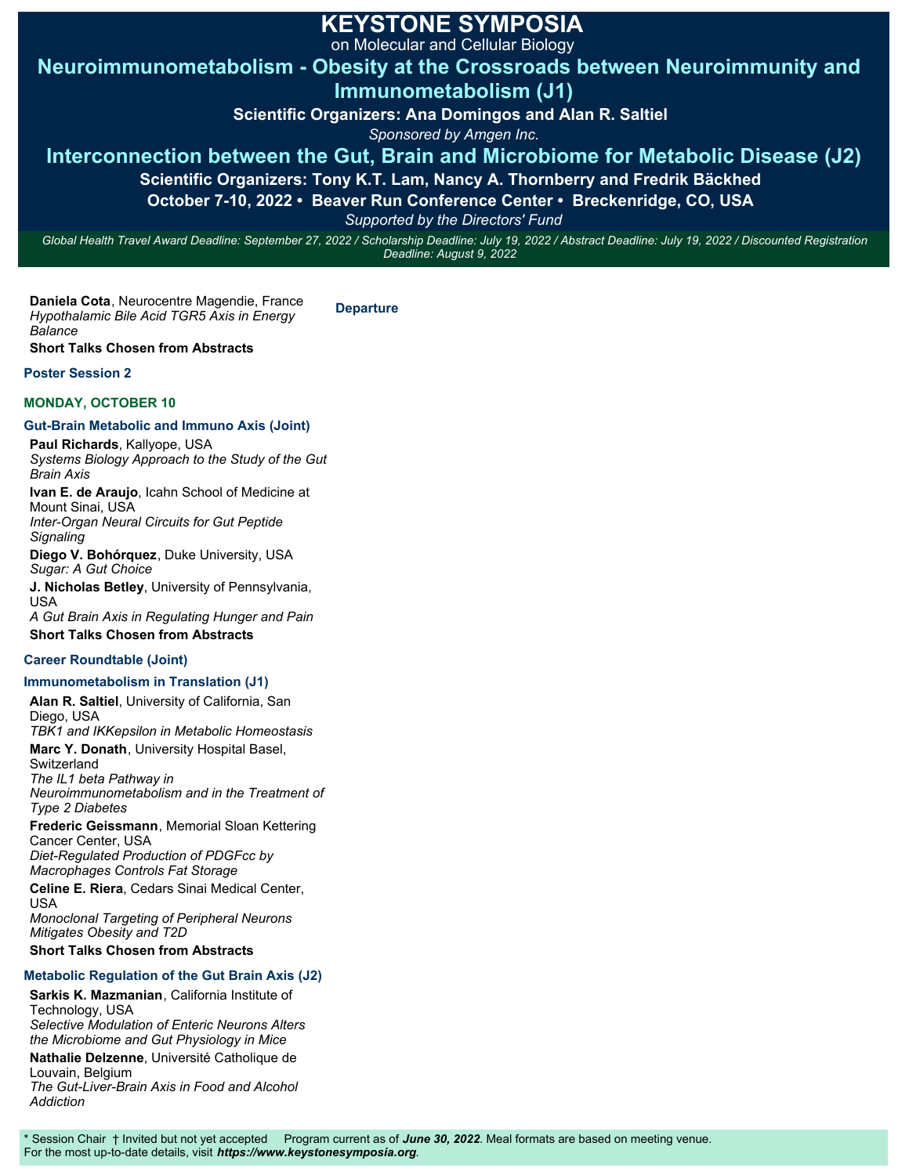## **KEYSTONE SYMPOSIA**

on Molecular and Cellular Biology

**Neuroimmunometabolism - Obesity at the Crossroads between Neuroimmunity and Immunometabolism (J1)**

**Scientific Organizers: Ana Domingos and Alan R. Saltiel** 

*Sponsored by Amgen Inc.*

## **Interconnection between the Gut, Brain and Microbiome for Metabolic Disease (J2)**

**Scientific Organizers: Tony K.T. Lam, Nancy A. Thornberry and Fredrik Bäckhed** 

**October 7-10, 2022 • Beaver Run Conference Center • Breckenridge, CO, USA** 

*Supported by the Directors' Fund*

*Global Health Travel Award Deadline: September 27, 2022 / Scholarship Deadline: July 19, 2022 / Abstract Deadline: July 19, 2022 / Discounted Registration Deadline: August 9, 2022*

**Daniela Cota**, Neurocentre Magendie, France *Hypothalamic Bile Acid TGR5 Axis in Energy Balance* **Departure**

**Short Talks Chosen from Abstracts**

#### **Poster Session 2**

### **MONDAY, OCTOBER 10**

### **Gut-Brain Metabolic and Immuno Axis (Joint)**

**Paul Richards**, Kallyope, USA *Systems Biology Approach to the Study of the Gut Brain Axis* **Ivan E. de Araujo**, Icahn School of Medicine at

Mount Sinai, USA *Inter-Organ Neural Circuits for Gut Peptide Signaling*

**Diego V. Bohórquez**, Duke University, USA *Sugar: A Gut Choice*

**J. Nicholas Betley**, University of Pennsylvania, USA

*A Gut Brain Axis in Regulating Hunger and Pain* **Short Talks Chosen from Abstracts**

### **Career Roundtable (Joint)**

## **Immunometabolism in Translation (J1)**

**Alan R. Saltiel**, University of California, San Diego, USA *TBK1 and IKKepsilon in Metabolic Homeostasis* **Marc Y. Donath**, University Hospital Basel, Switzerland *The IL1 beta Pathway in Neuroimmunometabolism and in the Treatment of Type 2 Diabetes* **Frederic Geissmann**, Memorial Sloan Kettering Cancer Center, USA *Diet-Regulated Production of PDGFcc by Macrophages Controls Fat Storage* **Celine E. Riera**, Cedars Sinai Medical Center, USA

*Monoclonal Targeting of Peripheral Neurons Mitigates Obesity and T2D*

**Short Talks Chosen from Abstracts**

## **Metabolic Regulation of the Gut Brain Axis (J2)**

**Sarkis K. Mazmanian**, California Institute of Technology, USA *Selective Modulation of Enteric Neurons Alters the Microbiome and Gut Physiology in Mice* **Nathalie Delzenne**, Université Catholique de

Louvain, Belgium *The Gut-Liver-Brain Axis in Food and Alcohol Addiction*